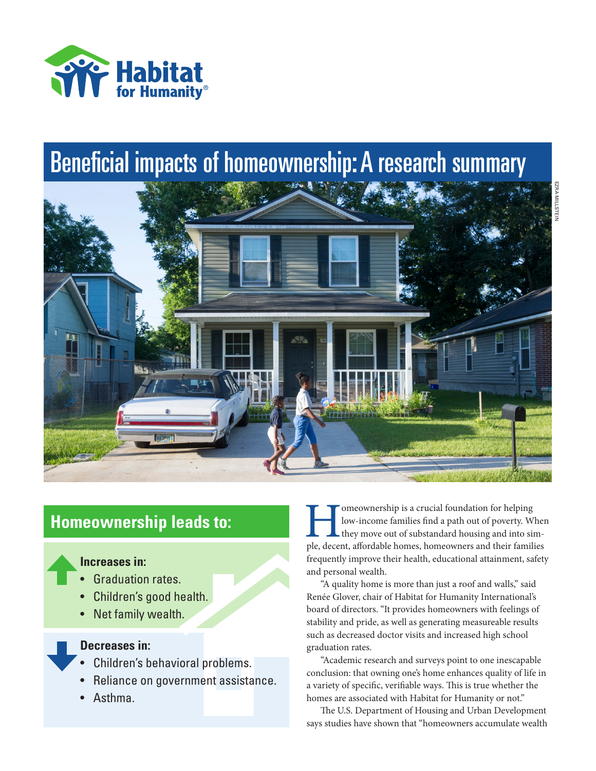

# Beneficial impacts of homeownership: A research summary



# **Homeownership leads to:**

# **Increases in:**

- Graduation rates.
- Children's good health.
- Net family wealth.

## **Decreases in:**

- Children's behavioral problems.
- Reliance on government assistance.
- Asthma.

**Homeownership is a crucial foundation for helping**<br>low-income families find a path out of poverty. When<br>they move out of substandard housing and into sim-<br>ple, decent, affordable homes, homeowners and their families low-income families find a path out of poverty. When they move out of substandard housing and into simfrequently improve their health, educational attainment, safety and personal wealth.

"A quality home is more than just a roof and walls," said Renée Glover, chair of Habitat for Humanity International's board of directors. "It provides homeowners with feelings of stability and pride, as well as generating measureable results such as decreased doctor visits and increased high school graduation rates.

"Academic research and surveys point to one inescapable conclusion: that owning one's home enhances quality of life in a variety of specific, verifiable ways. This is true whether the homes are associated with Habitat for Humanity or not."

The U.S. Department of Housing and Urban Development says studies have shown that "homeowners accumulate wealth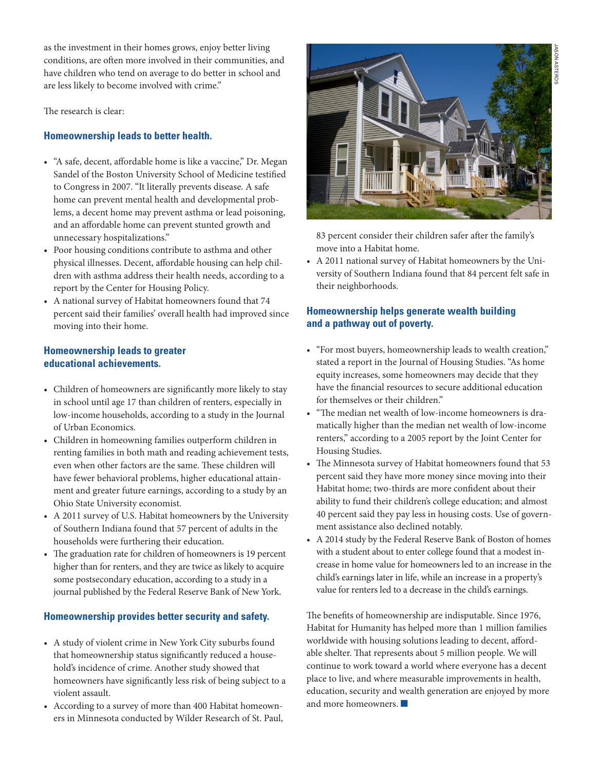as the investment in their homes grows, enjoy better living conditions, are often more involved in their communities, and have children who tend on average to do better in school and are less likely to become involved with crime."

The research is clear:

## **Homeownership leads to better health.**

- "A safe, decent, affordable home is like a vaccine," Dr. Megan Sandel of the Boston University School of Medicine testified to Congress in 2007. "It literally prevents disease. A safe home can prevent mental health and developmental problems, a decent home may prevent asthma or lead poisoning, and an affordable home can prevent stunted growth and unnecessary hospitalizations."
- Poor housing conditions contribute to asthma and other physical illnesses. Decent, affordable housing can help children with asthma address their health needs, according to a report by the Center for Housing Policy.
- A national survey of Habitat homeowners found that 74 percent said their families' overall health had improved since moving into their home.

#### **Homeownership leads to greater educational achievements.**

- Children of homeowners are significantly more likely to stay in school until age 17 than children of renters, especially in low-income households, according to a study in the Journal of Urban Economics.
- Children in homeowning families outperform children in renting families in both math and reading achievement tests, even when other factors are the same. These children will have fewer behavioral problems, higher educational attainment and greater future earnings, according to a study by an Ohio State University economist.
- A 2011 survey of U.S. Habitat homeowners by the University of Southern Indiana found that 57 percent of adults in the households were furthering their education.
- The graduation rate for children of homeowners is 19 percent higher than for renters, and they are twice as likely to acquire some postsecondary education, according to a study in a journal published by the Federal Reserve Bank of New York.

#### **Homeownership provides better security and safety.**

- A study of violent crime in New York City suburbs found that homeownership status significantly reduced a household's incidence of crime. Another study showed that homeowners have significantly less risk of being subject to a violent assault.
- According to a survey of more than 400 Habitat homeowners in Minnesota conducted by Wilder Research of St. Paul,



83 percent consider their children safer after the family's move into a Habitat home.

• A 2011 national survey of Habitat homeowners by the University of Southern Indiana found that 84 percent felt safe in their neighborhoods.

#### **Homeownership helps generate wealth building and a pathway out of poverty.**

- "For most buyers, homeownership leads to wealth creation," stated a report in the Journal of Housing Studies. "As home equity increases, some homeowners may decide that they have the financial resources to secure additional education for themselves or their children"
- "The median net wealth of low-income homeowners is dramatically higher than the median net wealth of low-income renters," according to a 2005 report by the Joint Center for Housing Studies.
- The Minnesota survey of Habitat homeowners found that 53 percent said they have more money since moving into their Habitat home; two-thirds are more confident about their ability to fund their children's college education; and almost 40 percent said they pay less in housing costs. Use of government assistance also declined notably.
- A 2014 study by the Federal Reserve Bank of Boston of homes with a student about to enter college found that a modest increase in home value for homeowners led to an increase in the child's earnings later in life, while an increase in a property's value for renters led to a decrease in the child's earnings.

The benefits of homeownership are indisputable. Since 1976, Habitat for Humanity has helped more than 1 million families worldwide with housing solutions leading to decent, affordable shelter. That represents about 5 million people. We will continue to work toward a world where everyone has a decent place to live, and where measurable improvements in health, education, security and wealth generation are enjoyed by more and more homeowners.